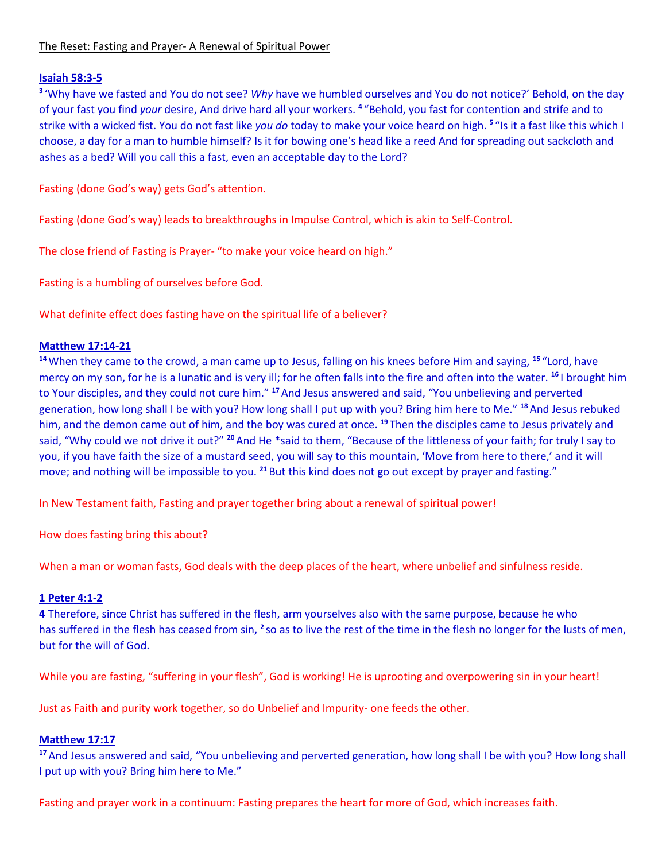# The Reset: Fasting and Prayer- A Renewal of Spiritual Power

### **Isaiah 58:3-5**

**3** 'Why have we fasted and You do not see? *Why* have we humbled ourselves and You do not notice?' Behold, on the day of your fast you find *your* desire, And drive hard all your workers. **<sup>4</sup>** "Behold, you fast for contention and strife and to strike with a wicked fist. You do not fast like *you do* today to make your voice heard on high. <sup>5</sup> "Is it a fast like this which I choose, a day for a man to humble himself? Is it for bowing one's head like a reed And for spreading out sackcloth and ashes as a bed? Will you call this a fast, even an acceptable day to the Lord?

Fasting (done God's way) gets God's attention.

Fasting (done God's way) leads to breakthroughs in Impulse Control, which is akin to Self-Control.

The close friend of Fasting is Prayer- "to make your voice heard on high."

Fasting is a humbling of ourselves before God.

What definite effect does fasting have on the spiritual life of a believer?

### **Matthew 17:14-21**

**<sup>14</sup>**When they came to the crowd, a man came up to Jesus, falling on his knees before Him and saying, **<sup>15</sup>** "Lord, have mercy on my son, for he is a lunatic and is very ill; for he often falls into the fire and often into the water. **<sup>16</sup>** I brought him to Your disciples, and they could not cure him." **<sup>17</sup>**And Jesus answered and said, "You unbelieving and perverted generation, how long shall I be with you? How long shall I put up with you? Bring him here to Me." **<sup>18</sup>**And Jesus rebuked him, and the demon came out of him, and the boy was cured at once. **<sup>19</sup>** Then the disciples came to Jesus privately and said, "Why could we not drive it out?" **<sup>20</sup>**And He \*said to them, "Because of the littleness of your faith; for truly I say to you, if you have faith the size of a mustard seed, you will say to this mountain, 'Move from here to there,' and it will move; and nothing will be impossible to you. **<sup>21</sup>** But this kind does not go out except by prayer and fasting."

In New Testament faith, Fasting and prayer together bring about a renewal of spiritual power!

How does fasting bring this about?

When a man or woman fasts, God deals with the deep places of the heart, where unbelief and sinfulness reside.

### **1 Peter 4:1-2**

**4** Therefore, since Christ has suffered in the flesh, arm yourselves also with the same purpose, because he who has suffered in the flesh has ceased from sin, <sup>2</sup> so as to live the rest of the time in the flesh no longer for the lusts of men, but for the will of God.

While you are fasting, "suffering in your flesh", God is working! He is uprooting and overpowering sin in your heart!

Just as Faith and purity work together, so do Unbelief and Impurity- one feeds the other.

#### **Matthew 17:17**

**<sup>17</sup>**And Jesus answered and said, "You unbelieving and perverted generation, how long shall I be with you? How long shall I put up with you? Bring him here to Me."

Fasting and prayer work in a continuum: Fasting prepares the heart for more of God, which increases faith.